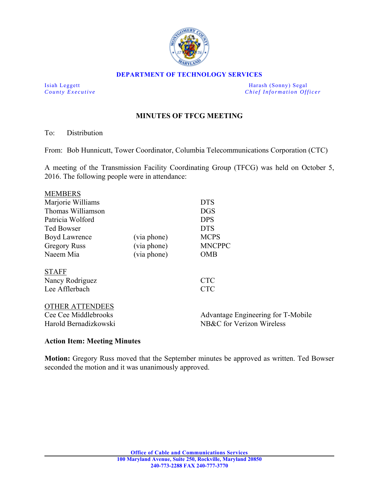

#### **DEPARTMENT OF TECHNOLOGY SERVICES**

Isiah Leggett Harash (Sonny) Segal *County Executive* **County**  $\overline{C}$  *Chief Information Officer* 

# **MINUTES OF TFCG MEETING**

To: Distribution

From: Bob Hunnicutt, Tower Coordinator, Columbia Telecommunications Corporation (CTC)

A meeting of the Transmission Facility Coordinating Group (TFCG) was held on October 5, 2016. The following people were in attendance:

| <b>MEMBERS</b>         |             |                                    |
|------------------------|-------------|------------------------------------|
| Marjorie Williams      |             | <b>DTS</b>                         |
| Thomas Williamson      |             | <b>DGS</b>                         |
| Patricia Wolford       |             | <b>DPS</b>                         |
| <b>Ted Bowser</b>      |             | <b>DTS</b>                         |
| Boyd Lawrence          | (via phone) | <b>MCPS</b>                        |
| <b>Gregory Russ</b>    | (via phone) | <b>MNCPPC</b>                      |
| Naeem Mia              | (via phone) | <b>OMB</b>                         |
|                        |             |                                    |
| <b>STAFF</b>           |             |                                    |
| Nancy Rodriguez        |             | <b>CTC</b>                         |
| Lee Afflerbach         |             | <b>CTC</b>                         |
|                        |             |                                    |
| <b>OTHER ATTENDEES</b> |             |                                    |
| Cee Cee Middlebrooks   |             | Advantage Engineering for T-Mobile |
| Harold Bernadizkowski  |             | NB&C for Verizon Wireless          |
|                        |             |                                    |

#### **Action Item: Meeting Minutes**

**Motion:** Gregory Russ moved that the September minutes be approved as written. Ted Bowser seconded the motion and it was unanimously approved.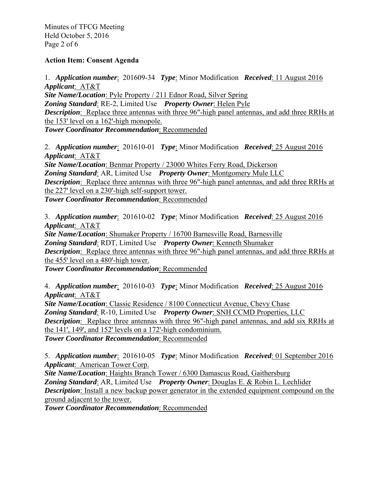Minutes of TFCG Meeting Held October 5, 2016 Page 2 of 6

### **Action Item: Consent Agenda**

1. *Application number*: 201609-34 *Type*: Minor Modification *Received*: 11 August 2016 *Applicant*: AT&T *Site Name/Location*: Pyle Property / 211 Ednor Road, Silver Spring *Zoning Standard*: RE-2, Limited Use *Property Owner*: Helen Pyle *Description*: Replace three antennas with three 96"-high panel antennas, and add three RRHs at the  $153$ ' level on a  $162$ '-high monopole. *Tower Coordinator Recommendation*: Recommended

2. *Application number*: 201610-01 *Type*: Minor Modification *Received*: 25 August 2016 *Applicant*: AT&T

*Site Name/Location*: Benmar Property / 23000 Whites Ferry Road, Dickerson *Zoning Standard*: AR, Limited Use *Property Owner*: Montgomery Mule LLC *Description*: Replace three antennas with three 96"-high panel antennas, and add three RRHs at the 227' level on a 230'-high self-support tower. *Tower Coordinator Recommendation*: Recommended

3. *Application number*: 201610-02 *Type*: Minor Modification *Received*: 25 August 2016 *Applicant*: AT&T

*Site Name/Location*: Shumaker Property / 16700 Barnesville Road, Barnesville *Zoning Standard*: RDT, Limited Use *Property Owner*: Kenneth Shumaker *Description*: Replace three antennas with three 96"-high panel antennas, and add three RRHs at the 455' level on a 480'-high tower.

*Tower Coordinator Recommendation*: Recommended

4. *Application number*: 201610-03 *Type*: Minor Modification *Received*: 25 August 2016 *Applicant*: AT&T

*Site Name/Location*: Classic Residence / 8100 Connecticut Avenue, Chevy Chase *Zoning Standard*: R-10, Limited Use *Property Owner*: SNH CCMD Properties, LLC *Description*: Replace three antennas with three 96"-high panel antennas, and add six RRHs at the  $141'$ ,  $149'$ , and  $152'$  levels on a  $172'$ -high condominium. *Tower Coordinator Recommendation*: Recommended

5. *Application number*: 201610-05 *Type*: Minor Modification *Received*: 01 September 2016 *Applicant*: American Tower Corp.

*Site Name/Location*: Haights Branch Tower / 6300 Damascus Road, Gaithersburg *Zoning Standard*: AR, Limited Use *Property Owner*: Douglas E. & Robin L. Lechlider *Description*: Install a new backup power generator in the extended equipment compound on the ground adjacent to the tower.

*Tower Coordinator Recommendation*: Recommended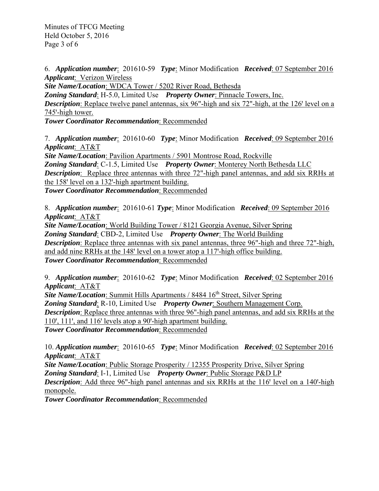Minutes of TFCG Meeting Held October 5, 2016 Page 3 of 6

6. *Application number*: 201610-59 *Type*: Minor Modification *Received*: 07 September 2016 *Applicant*: Verizon Wireless

*Site Name/Location*: WDCA Tower / 5202 River Road, Bethesda *Zoning Standard*: H-5.0, Limited Use *Property Owner*: Pinnacle Towers, Inc. **Description**: Replace twelve panel antennas, six 96"-high and six 72"-high, at the 126' level on a 745'-high tower.

*Tower Coordinator Recommendation*: Recommended

7. *Application number*: 201610-60 *Type*: Minor Modification *Received*: 09 September 2016 *Applicant*: AT&T

*Site Name/Location*: Pavilion Apartments / 5901 Montrose Road, Rockville

*Zoning Standard*: C-1.5, Limited Use *Property Owner*: Monterey North Bethesda LLC *Description*: Replace three antennas with three 72"-high panel antennas, and add six RRHs at the  $158'$  level on a  $132'$ -high apartment building.

*Tower Coordinator Recommendation*: Recommended

8. *Application number*: 201610-61 *Type*: Minor Modification *Received*: 09 September 2016 *Applicant*: AT&T

*Site Name/Location*: World Building Tower / 8121 Georgia Avenue, Silver Spring *Zoning Standard*: CBD-2, Limited Use *Property Owner*: The World Building *Description*: Replace three antennas with six panel antennas, three 96"-high and three 72"-high, and add nine RRHs at the 148' level on a tower atop a 117'-high office building. *Tower Coordinator Recommendation*: Recommended

9. *Application number*: 201610-62 *Type*: Minor Modification *Received*: 02 September 2016 *Applicant*: AT&T

**Site Name/Location:** Summit Hills Apartments / 8484 16<sup>th</sup> Street, Silver Spring *Zoning Standard*: R-10, Limited Use *Property Owner*: Southern Management Corp. *Description*: Replace three antennas with three 96"-high panel antennas, and add six RRHs at the  $110$ <sup>'</sup>,  $111$ <sup>'</sup>, and  $116$ <sup>'</sup> levels atop a 90'-high apartment building. *Tower Coordinator Recommendation*: Recommended

10. *Application number*: 201610-65 *Type*: Minor Modification *Received*: 02 September 2016 *Applicant*: AT&T

*Site Name/Location: Public Storage Prosperity / 12355 Prosperity Drive, Silver Spring Zoning Standard*: I-1, Limited Use *Property Owner*: Public Storage P&D LP **Description**: Add three 96"-high panel antennas and six RRHs at the 116' level on a 140'-high monopole.

*Tower Coordinator Recommendation*: Recommended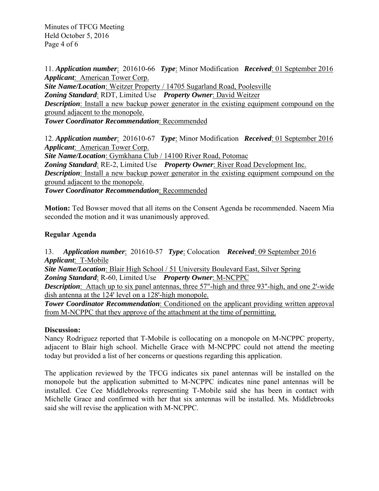Minutes of TFCG Meeting Held October 5, 2016 Page 4 of 6

11. *Application number*: 201610-66 *Type*: Minor Modification *Received*: 01 September 2016 *Applicant*: American Tower Corp.

*Site Name/Location*: Weitzer Property / 14705 Sugarland Road, Poolesville *Zoning Standard*: RDT, Limited Use *Property Owner*: David Weitzer *Description*: Install a new backup power generator in the existing equipment compound on the ground adjacent to the monopole.

*Tower Coordinator Recommendation*: Recommended

12. *Application number*: 201610-67 *Type*: Minor Modification *Received*: 01 September 2016 *Applicant*: American Tower Corp.

*Site Name/Location*: Gymkhana Club / 14100 River Road, Potomac

*Zoning Standard*: RE-2, Limited Use *Property Owner*: River Road Development Inc.

*Description*: Install a new backup power generator in the existing equipment compound on the ground adjacent to the monopole.

*Tower Coordinator Recommendation*: Recommended

**Motion:** Ted Bowser moved that all items on the Consent Agenda be recommended. Naeem Mia seconded the motion and it was unanimously approved.

# **Regular Agenda**

13. *Application number*: 201610-57 *Type*: Colocation *Received*: 09 September 2016 *Applicant*: T-Mobile

*Site Name/Location*: Blair High School / 51 University Boulevard East, Silver Spring *Zoning Standard*: R-60, Limited Use *Property Owner*: M-NCPPC

*Description*: Attach up to six panel antennas, three 57"-high and three 93"-high, and one 2'-wide dish antenna at the  $124'$  level on a  $128'$ -high monopole.

**Tower Coordinator Recommendation**: Conditioned on the applicant providing written approval from M-NCPPC that they approve of the attachment at the time of permitting.

## **Discussion:**

Nancy Rodriguez reported that T-Mobile is collocating on a monopole on M-NCPPC property, adjacent to Blair high school. Michelle Grace with M-NCPPC could not attend the meeting today but provided a list of her concerns or questions regarding this application.

The application reviewed by the TFCG indicates six panel antennas will be installed on the monopole but the application submitted to M-NCPPC indicates nine panel antennas will be installed. Cee Cee Middlebrooks representing T-Mobile said she has been in contact with Michelle Grace and confirmed with her that six antennas will be installed. Ms. Middlebrooks said she will revise the application with M-NCPPC.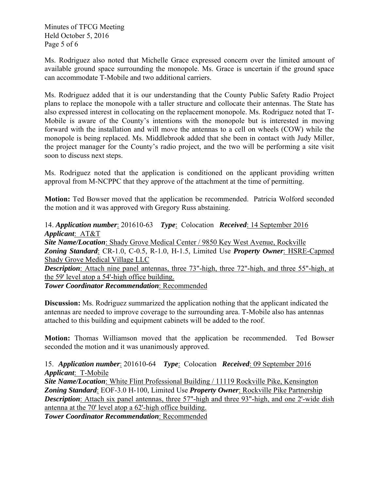Minutes of TFCG Meeting Held October 5, 2016 Page 5 of 6

Ms. Rodriguez also noted that Michelle Grace expressed concern over the limited amount of available ground space surrounding the monopole. Ms. Grace is uncertain if the ground space can accommodate T-Mobile and two additional carriers.

Ms. Rodriguez added that it is our understanding that the County Public Safety Radio Project plans to replace the monopole with a taller structure and collocate their antennas. The State has also expressed interest in collocating on the replacement monopole. Ms. Rodriguez noted that T-Mobile is aware of the County's intentions with the monopole but is interested in moving forward with the installation and will move the antennas to a cell on wheels (COW) while the monopole is being replaced. Ms. Middlebrook added that she been in contact with Judy Miller, the project manager for the County's radio project, and the two will be performing a site visit soon to discuss next steps.

Ms. Rodriguez noted that the application is conditioned on the applicant providing written approval from M-NCPPC that they approve of the attachment at the time of permitting.

**Motion:** Ted Bowser moved that the application be recommended. Patricia Wolford seconded the motion and it was approved with Gregory Russ abstaining.

14. *Application number*: 201610-63 *Type*: Colocation *Received*: 14 September 2016 *Applicant*: AT&T *Site Name/Location*: Shady Grove Medical Center / 9850 Key West Avenue, Rockville *Zoning Standard*: CR-1.0, C-0.5, R-1.0, H-1.5, Limited Use *Property Owner*: HSRE-Capmed Shady Grove Medical Village LLC

*Description*: Attach nine panel antennas, three 73"-high, three 72"-high, and three 55"-high, at the 59' level atop a 54'-high office building.

*Tower Coordinator Recommendation*: Recommended

**Discussion:** Ms. Rodriguez summarized the application nothing that the applicant indicated the antennas are needed to improve coverage to the surrounding area. T-Mobile also has antennas attached to this building and equipment cabinets will be added to the roof.

**Motion:** Thomas Williamson moved that the application be recommended. Ted Bowser seconded the motion and it was unanimously approved.

# 15. *Application number*: 201610-64 *Type*: Colocation *Received*: 09 September 2016 *Applicant*: T-Mobile

*Site Name/Location*: White Flint Professional Building / 11119 Rockville Pike, Kensington *Zoning Standard*: EOF-3.0 H-100, Limited Use *Property Owner*: Rockville Pike Partnership **Description**: Attach six panel antennas, three 57"-high and three 93"-high, and one 2'-wide dish antenna at the 70' level atop a 62'-high office building.

*Tower Coordinator Recommendation*: Recommended